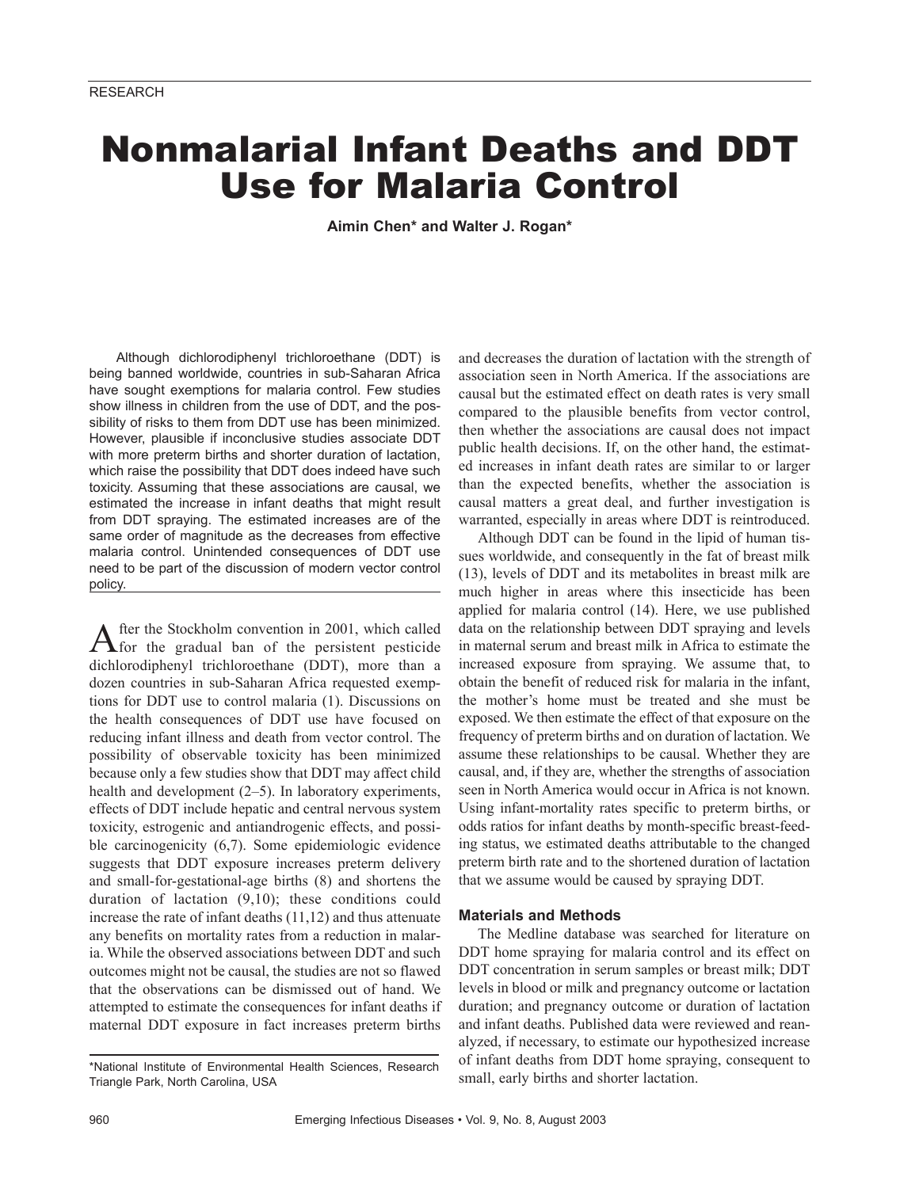# Nonmalarial Infant Deaths and DDT Use for Malaria Control

**Aimin Chen\* and Walter J. Rogan\***

Although dichlorodiphenyl trichloroethane (DDT) is being banned worldwide, countries in sub-Saharan Africa have sought exemptions for malaria control. Few studies show illness in children from the use of DDT, and the possibility of risks to them from DDT use has been minimized. However, plausible if inconclusive studies associate DDT with more preterm births and shorter duration of lactation, which raise the possibility that DDT does indeed have such toxicity. Assuming that these associations are causal, we estimated the increase in infant deaths that might result from DDT spraying. The estimated increases are of the same order of magnitude as the decreases from effective malaria control. Unintended consequences of DDT use need to be part of the discussion of modern vector control policy.

After the Stockholm convention in 2001, which called<br> **A** for the gradual ban of the persistent pesticide dichlorodiphenyl trichloroethane (DDT), more than a dozen countries in sub-Saharan Africa requested exemptions for DDT use to control malaria (1). Discussions on the health consequences of DDT use have focused on reducing infant illness and death from vector control. The possibility of observable toxicity has been minimized because only a few studies show that DDT may affect child health and development (2–5). In laboratory experiments, effects of DDT include hepatic and central nervous system toxicity, estrogenic and antiandrogenic effects, and possible carcinogenicity (6,7). Some epidemiologic evidence suggests that DDT exposure increases preterm delivery and small-for-gestational-age births (8) and shortens the duration of lactation (9,10); these conditions could increase the rate of infant deaths (11,12) and thus attenuate any benefits on mortality rates from a reduction in malaria. While the observed associations between DDT and such outcomes might not be causal, the studies are not so flawed that the observations can be dismissed out of hand. We attempted to estimate the consequences for infant deaths if maternal DDT exposure in fact increases preterm births

and decreases the duration of lactation with the strength of association seen in North America. If the associations are causal but the estimated effect on death rates is very small compared to the plausible benefits from vector control, then whether the associations are causal does not impact public health decisions. If, on the other hand, the estimated increases in infant death rates are similar to or larger than the expected benefits, whether the association is causal matters a great deal, and further investigation is warranted, especially in areas where DDT is reintroduced.

Although DDT can be found in the lipid of human tissues worldwide, and consequently in the fat of breast milk (13), levels of DDT and its metabolites in breast milk are much higher in areas where this insecticide has been applied for malaria control (14). Here, we use published data on the relationship between DDT spraying and levels in maternal serum and breast milk in Africa to estimate the increased exposure from spraying. We assume that, to obtain the benefit of reduced risk for malaria in the infant, the mother's home must be treated and she must be exposed. We then estimate the effect of that exposure on the frequency of preterm births and on duration of lactation. We assume these relationships to be causal. Whether they are causal, and, if they are, whether the strengths of association seen in North America would occur in Africa is not known. Using infant-mortality rates specific to preterm births, or odds ratios for infant deaths by month-specific breast-feeding status, we estimated deaths attributable to the changed preterm birth rate and to the shortened duration of lactation that we assume would be caused by spraying DDT.

# **Materials and Methods**

The Medline database was searched for literature on DDT home spraying for malaria control and its effect on DDT concentration in serum samples or breast milk; DDT levels in blood or milk and pregnancy outcome or lactation duration; and pregnancy outcome or duration of lactation and infant deaths. Published data were reviewed and reanalyzed, if necessary, to estimate our hypothesized increase of infant deaths from DDT home spraying, consequent to small, early births and shorter lactation.

<sup>\*</sup>National Institute of Environmental Health Sciences, Research Triangle Park, North Carolina, USA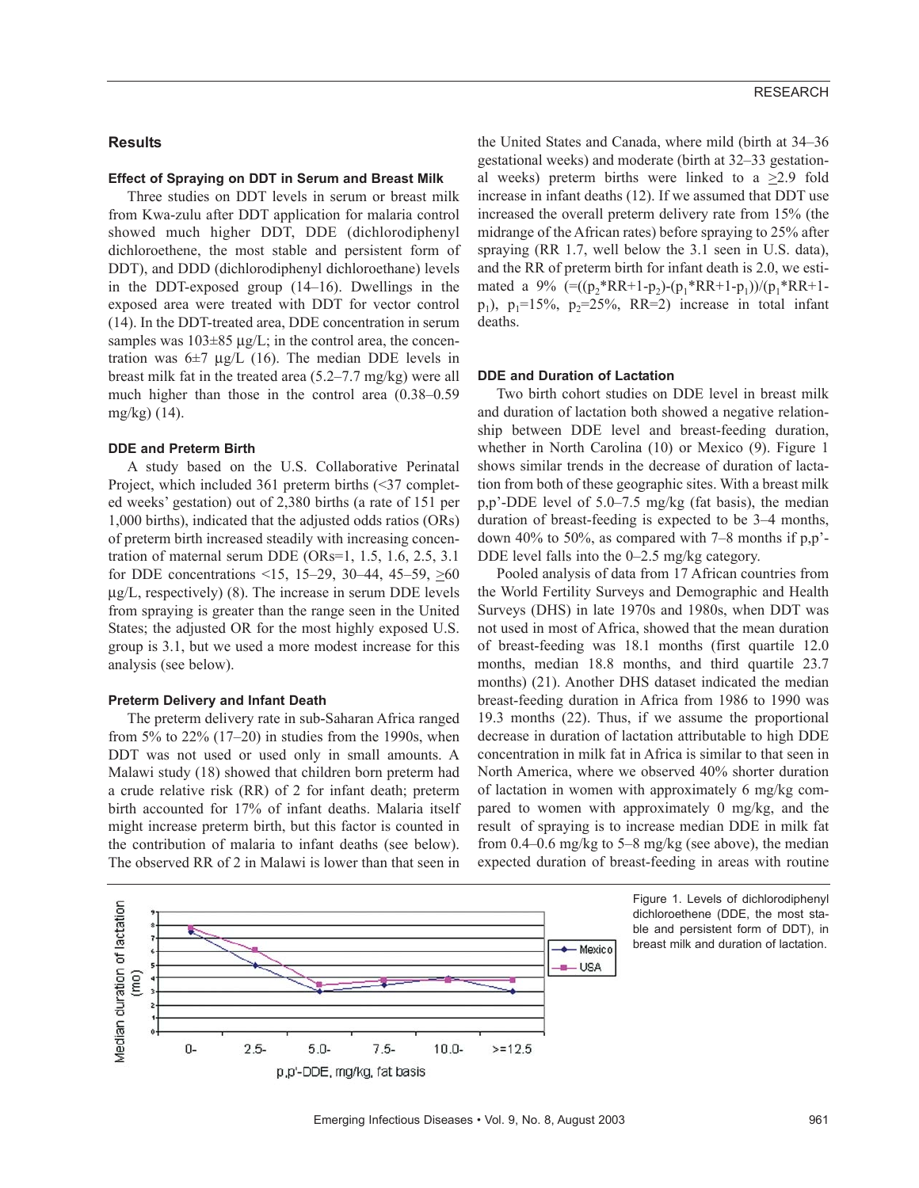## **Results**

## **Effect of Spraying on DDT in Serum and Breast Milk**

Three studies on DDT levels in serum or breast milk from Kwa-zulu after DDT application for malaria control showed much higher DDT, DDE (dichlorodiphenyl dichloroethene, the most stable and persistent form of DDT), and DDD (dichlorodiphenyl dichloroethane) levels in the DDT-exposed group (14–16). Dwellings in the exposed area were treated with DDT for vector control (14). In the DDT-treated area, DDE concentration in serum samples was  $103\pm85 \mu g/L$ ; in the control area, the concentration was  $6\pm7 \text{ µg/L } (16)$ . The median DDE levels in breast milk fat in the treated area (5.2–7.7 mg/kg) were all much higher than those in the control area (0.38–0.59 mg/kg) (14).

#### **DDE and Preterm Birth**

A study based on the U.S. Collaborative Perinatal Project, which included 361 preterm births (<37 completed weeks' gestation) out of 2,380 births (a rate of 151 per 1,000 births), indicated that the adjusted odds ratios (ORs) of preterm birth increased steadily with increasing concentration of maternal serum DDE (ORs=1, 1.5, 1.6, 2.5, 3.1 for DDE concentrations <15, 15–29, 30–44, 45–59,  $\geq 60$ µg/L, respectively) (8). The increase in serum DDE levels from spraying is greater than the range seen in the United States; the adjusted OR for the most highly exposed U.S. group is 3.1, but we used a more modest increase for this analysis (see below).

#### **Preterm Delivery and Infant Death**

The preterm delivery rate in sub-Saharan Africa ranged from 5% to  $22\%$  (17–20) in studies from the 1990s, when DDT was not used or used only in small amounts. A Malawi study (18) showed that children born preterm had a crude relative risk (RR) of 2 for infant death; preterm birth accounted for 17% of infant deaths. Malaria itself might increase preterm birth, but this factor is counted in the contribution of malaria to infant deaths (see below). The observed RR of 2 in Malawi is lower than that seen in

the United States and Canada, where mild (birth at 34–36 gestational weeks) and moderate (birth at 32–33 gestational weeks) preterm births were linked to a  $\geq$ 2.9 fold increase in infant deaths (12). If we assumed that DDT use increased the overall preterm delivery rate from 15% (the midrange of the African rates) before spraying to 25% after spraying (RR 1.7, well below the 3.1 seen in U.S. data), and the RR of preterm birth for infant death is 2.0, we estimated a 9%  $=((p, *RR+1-p,)-(p, *RR+1-p_1))/(p, *RR+1$  $p_1$ ),  $p_1=15\%$ ,  $p_2=25\%$ , RR=2) increase in total infant deaths.

## **DDE and Duration of Lactation**

Two birth cohort studies on DDE level in breast milk and duration of lactation both showed a negative relationship between DDE level and breast-feeding duration, whether in North Carolina (10) or Mexico (9). Figure 1 shows similar trends in the decrease of duration of lactation from both of these geographic sites. With a breast milk p,p'-DDE level of 5.0–7.5 mg/kg (fat basis), the median duration of breast-feeding is expected to be 3–4 months, down 40% to 50%, as compared with 7–8 months if p,p'- DDE level falls into the 0–2.5 mg/kg category.

Pooled analysis of data from 17 African countries from the World Fertility Surveys and Demographic and Health Surveys (DHS) in late 1970s and 1980s, when DDT was not used in most of Africa, showed that the mean duration of breast-feeding was 18.1 months (first quartile 12.0 months, median 18.8 months, and third quartile 23.7 months) (21). Another DHS dataset indicated the median breast-feeding duration in Africa from 1986 to 1990 was 19.3 months (22). Thus, if we assume the proportional decrease in duration of lactation attributable to high DDE concentration in milk fat in Africa is similar to that seen in North America, where we observed 40% shorter duration of lactation in women with approximately 6 mg/kg compared to women with approximately 0 mg/kg, and the result of spraying is to increase median DDE in milk fat from 0.4–0.6 mg/kg to 5–8 mg/kg (see above), the median expected duration of breast-feeding in areas with routine



Figure 1. Levels of dichlorodiphenyl dichloroethene (DDE, the most stable and persistent form of DDT), in breast milk and duration of lactation.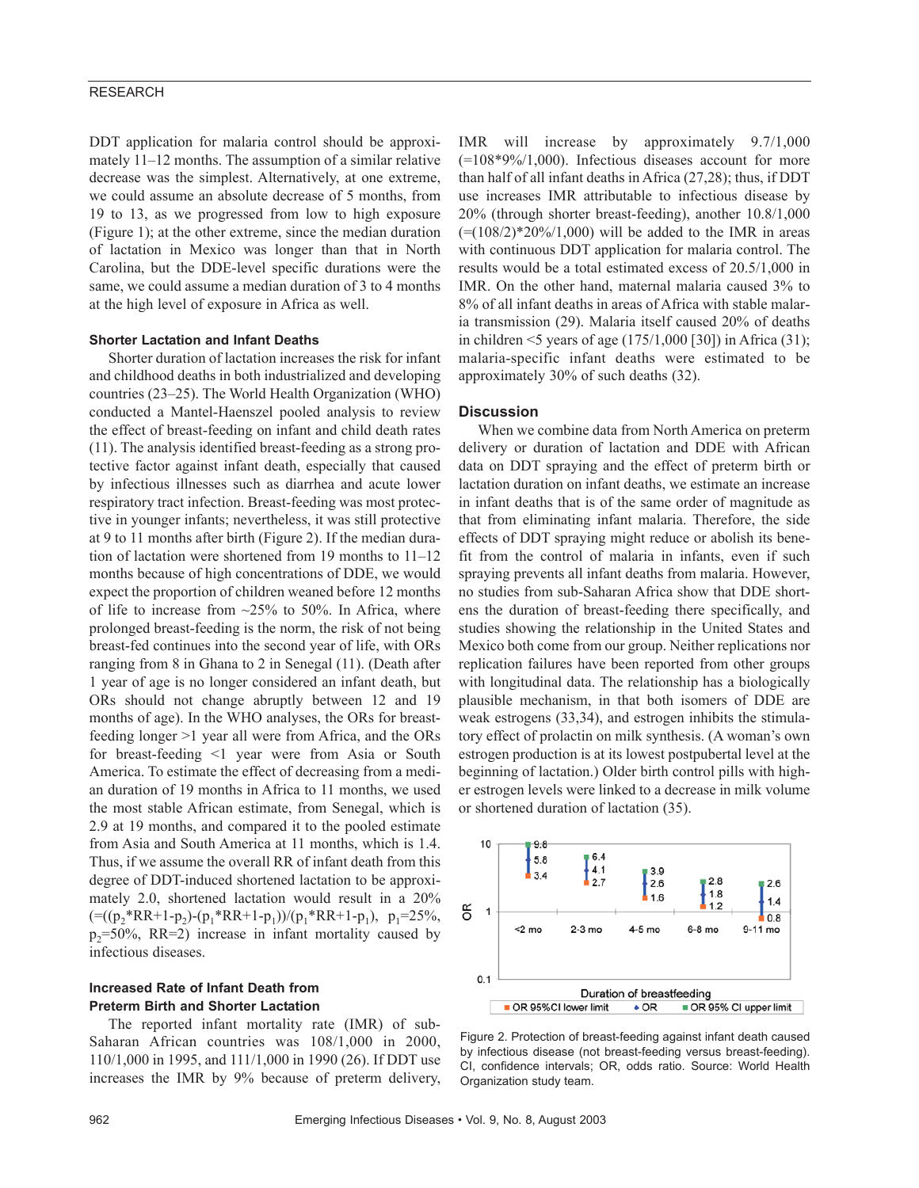# RESEARCH

DDT application for malaria control should be approximately 11–12 months. The assumption of a similar relative decrease was the simplest. Alternatively, at one extreme, we could assume an absolute decrease of 5 months, from 19 to 13, as we progressed from low to high exposure (Figure 1); at the other extreme, since the median duration of lactation in Mexico was longer than that in North Carolina, but the DDE-level specific durations were the same, we could assume a median duration of 3 to 4 months at the high level of exposure in Africa as well.

### **Shorter Lactation and Infant Deaths**

Shorter duration of lactation increases the risk for infant and childhood deaths in both industrialized and developing countries (23–25). The World Health Organization (WHO) conducted a Mantel-Haenszel pooled analysis to review the effect of breast-feeding on infant and child death rates (11). The analysis identified breast-feeding as a strong protective factor against infant death, especially that caused by infectious illnesses such as diarrhea and acute lower respiratory tract infection. Breast-feeding was most protective in younger infants; nevertheless, it was still protective at 9 to 11 months after birth (Figure 2). If the median duration of lactation were shortened from 19 months to 11–12 months because of high concentrations of DDE, we would expect the proportion of children weaned before 12 months of life to increase from  $\sim$ 25% to 50%. In Africa, where prolonged breast-feeding is the norm, the risk of not being breast-fed continues into the second year of life, with ORs ranging from 8 in Ghana to 2 in Senegal (11). (Death after 1 year of age is no longer considered an infant death, but ORs should not change abruptly between 12 and 19 months of age). In the WHO analyses, the ORs for breastfeeding longer >1 year all were from Africa, and the ORs for breast-feeding <1 year were from Asia or South America. To estimate the effect of decreasing from a median duration of 19 months in Africa to 11 months, we used the most stable African estimate, from Senegal, which is 2.9 at 19 months, and compared it to the pooled estimate from Asia and South America at 11 months, which is 1.4. Thus, if we assume the overall RR of infant death from this degree of DDT-induced shortened lactation to be approximately 2.0, shortened lactation would result in a 20%  $=((p_2*RR+1-p_2)-(p_1*RR+1-p_1))/(p_1*RR+1-p_1), p_1=25\%,$  $p_2=50\%$ , RR=2) increase in infant mortality caused by infectious diseases.

# **Increased Rate of Infant Death from Preterm Birth and Shorter Lactation**

The reported infant mortality rate (IMR) of sub-Saharan African countries was 108/1,000 in 2000, 110/1,000 in 1995, and 111/1,000 in 1990 (26). If DDT use increases the IMR by 9% because of preterm delivery,

IMR will increase by approximately 9.7/1,000  $(=108*9\%/1,000)$ . Infectious diseases account for more than half of all infant deaths in Africa (27,28); thus, if DDT use increases IMR attributable to infectious disease by 20% (through shorter breast-feeding), another 10.8/1,000  $(=(108/2)*20%/1,000)$  will be added to the IMR in areas with continuous DDT application for malaria control. The results would be a total estimated excess of 20.5/1,000 in IMR. On the other hand, maternal malaria caused 3% to 8% of all infant deaths in areas of Africa with stable malaria transmission (29). Malaria itself caused 20% of deaths in children  $\leq$ 5 years of age (175/1,000 [30]) in Africa (31); malaria-specific infant deaths were estimated to be approximately 30% of such deaths (32).

# **Discussion**

When we combine data from North America on preterm delivery or duration of lactation and DDE with African data on DDT spraying and the effect of preterm birth or lactation duration on infant deaths, we estimate an increase in infant deaths that is of the same order of magnitude as that from eliminating infant malaria. Therefore, the side effects of DDT spraying might reduce or abolish its benefit from the control of malaria in infants, even if such spraying prevents all infant deaths from malaria. However, no studies from sub-Saharan Africa show that DDE shortens the duration of breast-feeding there specifically, and studies showing the relationship in the United States and Mexico both come from our group. Neither replications nor replication failures have been reported from other groups with longitudinal data. The relationship has a biologically plausible mechanism, in that both isomers of DDE are weak estrogens (33,34), and estrogen inhibits the stimulatory effect of prolactin on milk synthesis. (A woman's own estrogen production is at its lowest postpubertal level at the beginning of lactation.) Older birth control pills with higher estrogen levels were linked to a decrease in milk volume or shortened duration of lactation (35).



Figure 2. Protection of breast-feeding against infant death caused by infectious disease (not breast-feeding versus breast-feeding). CI, confidence intervals; OR, odds ratio. Source: World Health Organization study team.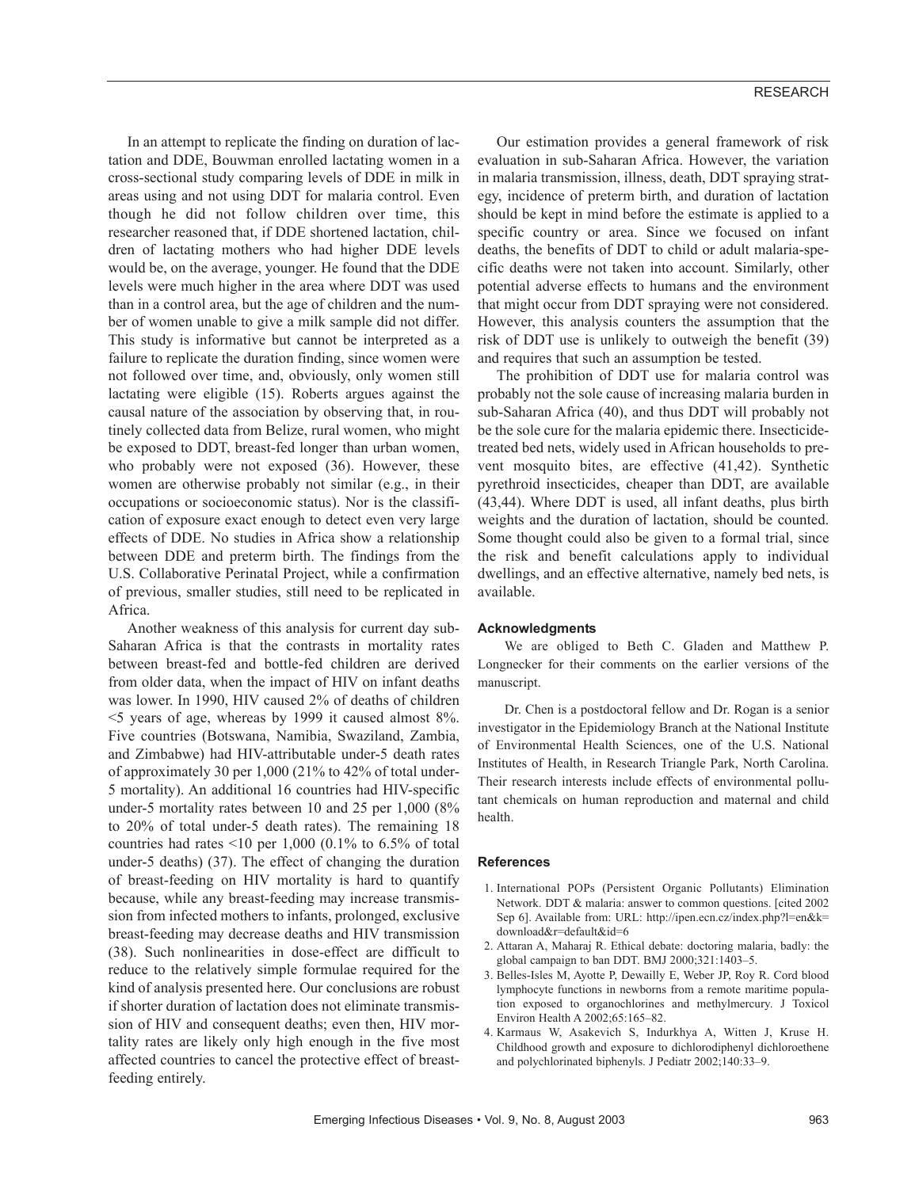In an attempt to replicate the finding on duration of lactation and DDE, Bouwman enrolled lactating women in a cross-sectional study comparing levels of DDE in milk in areas using and not using DDT for malaria control. Even though he did not follow children over time, this researcher reasoned that, if DDE shortened lactation, children of lactating mothers who had higher DDE levels would be, on the average, younger. He found that the DDE levels were much higher in the area where DDT was used than in a control area, but the age of children and the number of women unable to give a milk sample did not differ. This study is informative but cannot be interpreted as a failure to replicate the duration finding, since women were not followed over time, and, obviously, only women still lactating were eligible (15). Roberts argues against the causal nature of the association by observing that, in routinely collected data from Belize, rural women, who might be exposed to DDT, breast-fed longer than urban women, who probably were not exposed (36). However, these women are otherwise probably not similar (e.g., in their occupations or socioeconomic status). Nor is the classification of exposure exact enough to detect even very large effects of DDE. No studies in Africa show a relationship between DDE and preterm birth. The findings from the U.S. Collaborative Perinatal Project, while a confirmation of previous, smaller studies, still need to be replicated in Africa.

Another weakness of this analysis for current day sub-Saharan Africa is that the contrasts in mortality rates between breast-fed and bottle-fed children are derived from older data, when the impact of HIV on infant deaths was lower. In 1990, HIV caused 2% of deaths of children <5 years of age, whereas by 1999 it caused almost 8%. Five countries (Botswana, Namibia, Swaziland, Zambia, and Zimbabwe) had HIV-attributable under-5 death rates of approximately 30 per 1,000 (21% to 42% of total under-5 mortality). An additional 16 countries had HIV-specific under-5 mortality rates between 10 and 25 per 1,000 (8% to 20% of total under-5 death rates). The remaining 18 countries had rates  $\leq 10$  per 1,000 (0.1% to 6.5% of total under-5 deaths) (37). The effect of changing the duration of breast-feeding on HIV mortality is hard to quantify because, while any breast-feeding may increase transmission from infected mothers to infants, prolonged, exclusive breast-feeding may decrease deaths and HIV transmission (38). Such nonlinearities in dose-effect are difficult to reduce to the relatively simple formulae required for the kind of analysis presented here. Our conclusions are robust if shorter duration of lactation does not eliminate transmission of HIV and consequent deaths; even then, HIV mortality rates are likely only high enough in the five most affected countries to cancel the protective effect of breastfeeding entirely.

Our estimation provides a general framework of risk evaluation in sub-Saharan Africa. However, the variation in malaria transmission, illness, death, DDT spraying strategy, incidence of preterm birth, and duration of lactation should be kept in mind before the estimate is applied to a specific country or area. Since we focused on infant deaths, the benefits of DDT to child or adult malaria-specific deaths were not taken into account. Similarly, other potential adverse effects to humans and the environment that might occur from DDT spraying were not considered. However, this analysis counters the assumption that the risk of DDT use is unlikely to outweigh the benefit (39) and requires that such an assumption be tested.

The prohibition of DDT use for malaria control was probably not the sole cause of increasing malaria burden in sub-Saharan Africa (40), and thus DDT will probably not be the sole cure for the malaria epidemic there. Insecticidetreated bed nets, widely used in African households to prevent mosquito bites, are effective (41,42). Synthetic pyrethroid insecticides, cheaper than DDT, are available (43,44). Where DDT is used, all infant deaths, plus birth weights and the duration of lactation, should be counted. Some thought could also be given to a formal trial, since the risk and benefit calculations apply to individual dwellings, and an effective alternative, namely bed nets, is available.

#### **Acknowledgments**

We are obliged to Beth C. Gladen and Matthew P. Longnecker for their comments on the earlier versions of the manuscript.

Dr. Chen is a postdoctoral fellow and Dr. Rogan is a senior investigator in the Epidemiology Branch at the National Institute of Environmental Health Sciences, one of the U.S. National Institutes of Health, in Research Triangle Park, North Carolina. Their research interests include effects of environmental pollutant chemicals on human reproduction and maternal and child health.

#### **References**

- 1. International POPs (Persistent Organic Pollutants) Elimination Network. DDT & malaria: answer to common questions. [cited 2002 Sep 6]. Available from: URL: http://ipen.ecn.cz/index.php?l=en&k= download&r=default&id=6
- 2. Attaran A, Maharaj R. Ethical debate: doctoring malaria, badly: the global campaign to ban DDT. BMJ 2000;321:1403–5.
- 3. Belles-Isles M, Ayotte P, Dewailly E, Weber JP, Roy R. Cord blood lymphocyte functions in newborns from a remote maritime population exposed to organochlorines and methylmercury. J Toxicol Environ Health A 2002;65:165–82.
- 4. Karmaus W, Asakevich S, Indurkhya A, Witten J, Kruse H. Childhood growth and exposure to dichlorodiphenyl dichloroethene and polychlorinated biphenyls. J Pediatr 2002;140:33–9.